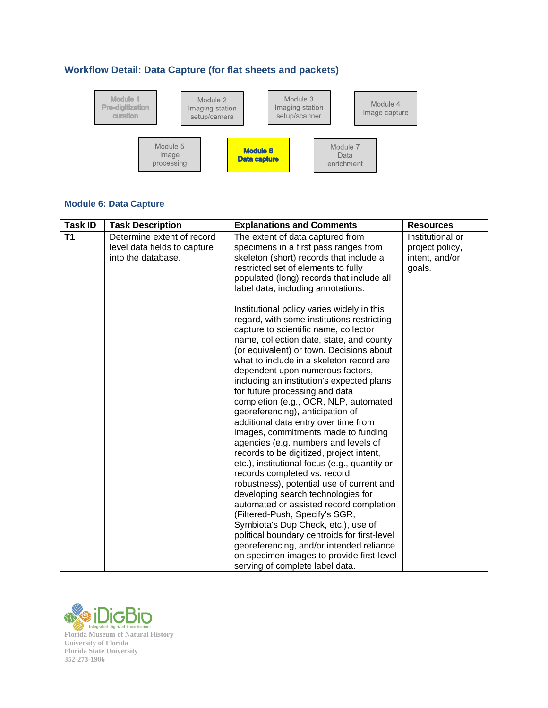## **Workflow Detail: Data Capture (for flat sheets and packets)**



## **Module 6: Data Capture**

| <b>Task ID</b> | <b>Task Description</b>                                                          | <b>Explanations and Comments</b>                                                                                                                                                                                                                                                                                                                                                                                                                                                                                                                                                                                                                                                                                                                                                                                                                                                                                                                                                                                             | <b>Resources</b>                                                |
|----------------|----------------------------------------------------------------------------------|------------------------------------------------------------------------------------------------------------------------------------------------------------------------------------------------------------------------------------------------------------------------------------------------------------------------------------------------------------------------------------------------------------------------------------------------------------------------------------------------------------------------------------------------------------------------------------------------------------------------------------------------------------------------------------------------------------------------------------------------------------------------------------------------------------------------------------------------------------------------------------------------------------------------------------------------------------------------------------------------------------------------------|-----------------------------------------------------------------|
| T <sub>1</sub> | Determine extent of record<br>level data fields to capture<br>into the database. | The extent of data captured from<br>specimens in a first pass ranges from<br>skeleton (short) records that include a<br>restricted set of elements to fully<br>populated (long) records that include all<br>label data, including annotations.                                                                                                                                                                                                                                                                                                                                                                                                                                                                                                                                                                                                                                                                                                                                                                               | Institutional or<br>project policy,<br>intent, and/or<br>goals. |
|                |                                                                                  | Institutional policy varies widely in this<br>regard, with some institutions restricting<br>capture to scientific name, collector<br>name, collection date, state, and county<br>(or equivalent) or town. Decisions about<br>what to include in a skeleton record are<br>dependent upon numerous factors,<br>including an institution's expected plans<br>for future processing and data<br>completion (e.g., OCR, NLP, automated<br>georeferencing), anticipation of<br>additional data entry over time from<br>images, commitments made to funding<br>agencies (e.g. numbers and levels of<br>records to be digitized, project intent,<br>etc.), institutional focus (e.g., quantity or<br>records completed vs. record<br>robustness), potential use of current and<br>developing search technologies for<br>automated or assisted record completion<br>(Filtered-Push, Specify's SGR,<br>Symbiota's Dup Check, etc.), use of<br>political boundary centroids for first-level<br>georeferencing, and/or intended reliance |                                                                 |
|                |                                                                                  | on specimen images to provide first-level<br>serving of complete label data.                                                                                                                                                                                                                                                                                                                                                                                                                                                                                                                                                                                                                                                                                                                                                                                                                                                                                                                                                 |                                                                 |

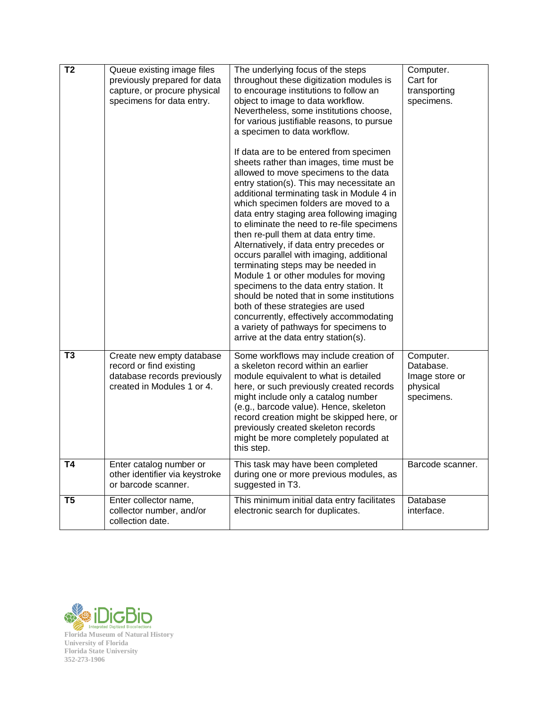| T <sub>2</sub> | Queue existing image files<br>previously prepared for data<br>capture, or procure physical<br>specimens for data entry. | The underlying focus of the steps<br>throughout these digitization modules is<br>to encourage institutions to follow an<br>object to image to data workflow.<br>Nevertheless, some institutions choose,<br>for various justifiable reasons, to pursue<br>a specimen to data workflow.<br>If data are to be entered from specimen<br>sheets rather than images, time must be<br>allowed to move specimens to the data<br>entry station(s). This may necessitate an<br>additional terminating task in Module 4 in<br>which specimen folders are moved to a<br>data entry staging area following imaging<br>to eliminate the need to re-file specimens<br>then re-pull them at data entry time.<br>Alternatively, if data entry precedes or<br>occurs parallel with imaging, additional<br>terminating steps may be needed in<br>Module 1 or other modules for moving<br>specimens to the data entry station. It<br>should be noted that in some institutions<br>both of these strategies are used<br>concurrently, effectively accommodating<br>a variety of pathways for specimens to<br>arrive at the data entry station(s). | Computer.<br>Cart for<br>transporting<br>specimens.                |
|----------------|-------------------------------------------------------------------------------------------------------------------------|------------------------------------------------------------------------------------------------------------------------------------------------------------------------------------------------------------------------------------------------------------------------------------------------------------------------------------------------------------------------------------------------------------------------------------------------------------------------------------------------------------------------------------------------------------------------------------------------------------------------------------------------------------------------------------------------------------------------------------------------------------------------------------------------------------------------------------------------------------------------------------------------------------------------------------------------------------------------------------------------------------------------------------------------------------------------------------------------------------------------------|--------------------------------------------------------------------|
| T <sub>3</sub> | Create new empty database<br>record or find existing<br>database records previously<br>created in Modules 1 or 4.       | Some workflows may include creation of<br>a skeleton record within an earlier<br>module equivalent to what is detailed<br>here, or such previously created records<br>might include only a catalog number<br>(e.g., barcode value). Hence, skeleton<br>record creation might be skipped here, or<br>previously created skeleton records<br>might be more completely populated at<br>this step.                                                                                                                                                                                                                                                                                                                                                                                                                                                                                                                                                                                                                                                                                                                               | Computer.<br>Database.<br>Image store or<br>physical<br>specimens. |
| T4             | Enter catalog number or<br>other identifier via keystroke<br>or barcode scanner.                                        | This task may have been completed<br>during one or more previous modules, as<br>suggested in T3.                                                                                                                                                                                                                                                                                                                                                                                                                                                                                                                                                                                                                                                                                                                                                                                                                                                                                                                                                                                                                             | Barcode scanner.                                                   |
| T5             | Enter collector name,<br>collector number, and/or<br>collection date.                                                   | This minimum initial data entry facilitates<br>electronic search for duplicates.                                                                                                                                                                                                                                                                                                                                                                                                                                                                                                                                                                                                                                                                                                                                                                                                                                                                                                                                                                                                                                             | Database<br>interface.                                             |

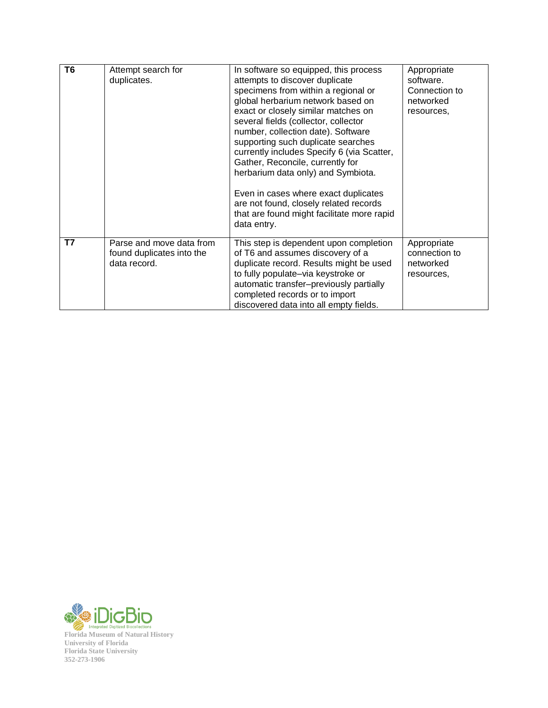| T <sub>6</sub> | Attempt search for<br>duplicates.                                     | In software so equipped, this process<br>attempts to discover duplicate<br>specimens from within a regional or<br>global herbarium network based on<br>exact or closely similar matches on<br>several fields (collector, collector<br>number, collection date). Software<br>supporting such duplicate searches<br>currently includes Specify 6 (via Scatter,<br>Gather, Reconcile, currently for<br>herbarium data only) and Symbiota.<br>Even in cases where exact duplicates<br>are not found, closely related records<br>that are found might facilitate more rapid<br>data entry. | Appropriate<br>software.<br>Connection to<br>networked<br>resources, |
|----------------|-----------------------------------------------------------------------|---------------------------------------------------------------------------------------------------------------------------------------------------------------------------------------------------------------------------------------------------------------------------------------------------------------------------------------------------------------------------------------------------------------------------------------------------------------------------------------------------------------------------------------------------------------------------------------|----------------------------------------------------------------------|
| T7             | Parse and move data from<br>found duplicates into the<br>data record. | This step is dependent upon completion<br>of T6 and assumes discovery of a<br>duplicate record. Results might be used<br>to fully populate-via keystroke or<br>automatic transfer-previously partially<br>completed records or to import<br>discovered data into all empty fields.                                                                                                                                                                                                                                                                                                    | Appropriate<br>connection to<br>networked<br>resources.              |

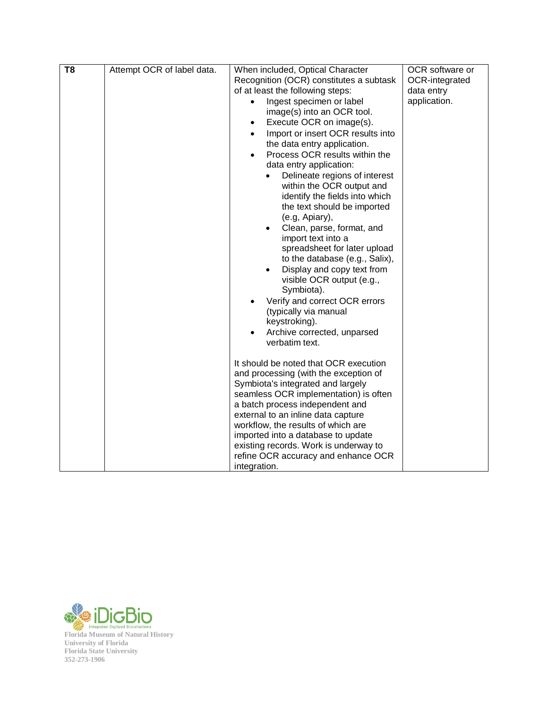| T <sub>8</sub> | Attempt OCR of label data. | When included, Optical Character                                                        | OCR software or |
|----------------|----------------------------|-----------------------------------------------------------------------------------------|-----------------|
|                |                            | Recognition (OCR) constitutes a subtask                                                 | OCR-integrated  |
|                |                            | of at least the following steps:                                                        | data entry      |
|                |                            | Ingest specimen or label<br>$\bullet$                                                   | application.    |
|                |                            | image(s) into an OCR tool.                                                              |                 |
|                |                            | Execute OCR on image(s).<br>$\bullet$<br>Import or insert OCR results into<br>$\bullet$ |                 |
|                |                            | the data entry application.                                                             |                 |
|                |                            | Process OCR results within the<br>$\bullet$                                             |                 |
|                |                            | data entry application:                                                                 |                 |
|                |                            | Delineate regions of interest                                                           |                 |
|                |                            | within the OCR output and                                                               |                 |
|                |                            | identify the fields into which                                                          |                 |
|                |                            | the text should be imported                                                             |                 |
|                |                            | (e.g, Apiary),                                                                          |                 |
|                |                            | Clean, parse, format, and                                                               |                 |
|                |                            | import text into a                                                                      |                 |
|                |                            | spreadsheet for later upload                                                            |                 |
|                |                            | to the database (e.g., Salix),                                                          |                 |
|                |                            | Display and copy text from<br>visible OCR output (e.g.,                                 |                 |
|                |                            | Symbiota).                                                                              |                 |
|                |                            | Verify and correct OCR errors                                                           |                 |
|                |                            | (typically via manual                                                                   |                 |
|                |                            | keystroking).                                                                           |                 |
|                |                            | Archive corrected, unparsed                                                             |                 |
|                |                            | verbatim text.                                                                          |                 |
|                |                            |                                                                                         |                 |
|                |                            | It should be noted that OCR execution                                                   |                 |
|                |                            | and processing (with the exception of                                                   |                 |
|                |                            | Symbiota's integrated and largely                                                       |                 |
|                |                            | seamless OCR implementation) is often<br>a batch process independent and                |                 |
|                |                            | external to an inline data capture                                                      |                 |
|                |                            | workflow, the results of which are                                                      |                 |
|                |                            | imported into a database to update                                                      |                 |
|                |                            | existing records. Work is underway to                                                   |                 |
|                |                            | refine OCR accuracy and enhance OCR                                                     |                 |
|                |                            | integration.                                                                            |                 |

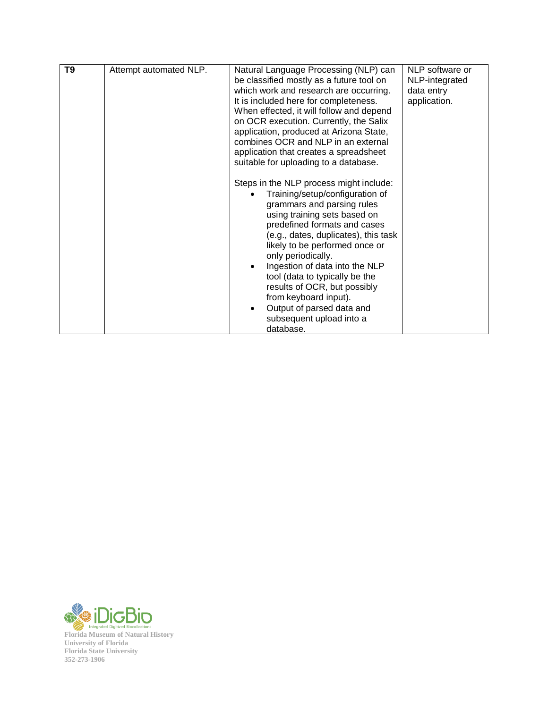| T <sub>9</sub> | Attempt automated NLP. | Natural Language Processing (NLP) can<br>be classified mostly as a future tool on<br>which work and research are occurring.<br>It is included here for completeness.<br>When effected, it will follow and depend<br>on OCR execution. Currently, the Salix<br>application, produced at Arizona State,<br>combines OCR and NLP in an external<br>application that creates a spreadsheet<br>suitable for uploading to a database.                                                                       | NLP software or<br>NLP-integrated<br>data entry<br>application. |
|----------------|------------------------|-------------------------------------------------------------------------------------------------------------------------------------------------------------------------------------------------------------------------------------------------------------------------------------------------------------------------------------------------------------------------------------------------------------------------------------------------------------------------------------------------------|-----------------------------------------------------------------|
|                |                        | Steps in the NLP process might include:<br>Training/setup/configuration of<br>grammars and parsing rules<br>using training sets based on<br>predefined formats and cases<br>(e.g., dates, duplicates), this task<br>likely to be performed once or<br>only periodically.<br>Ingestion of data into the NLP<br>$\bullet$<br>tool (data to typically be the<br>results of OCR, but possibly<br>from keyboard input).<br>Output of parsed data and<br>$\bullet$<br>subsequent upload into a<br>database. |                                                                 |

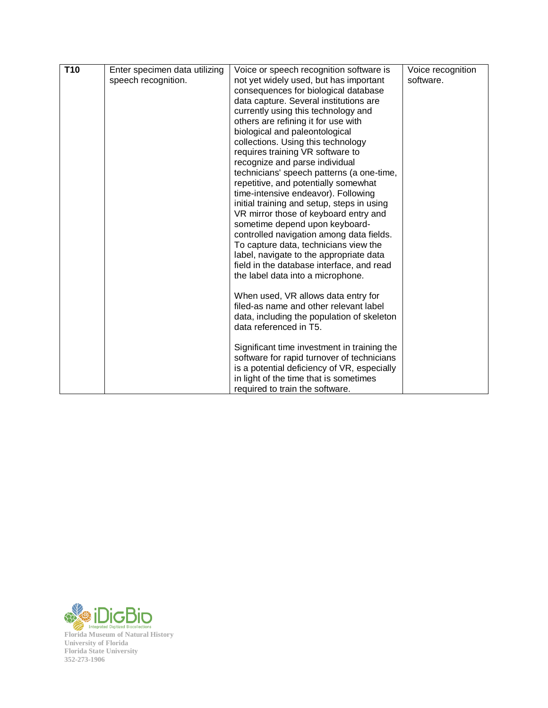| T <sub>10</sub> | Enter specimen data utilizing | Voice or speech recognition software is                              | Voice recognition |
|-----------------|-------------------------------|----------------------------------------------------------------------|-------------------|
|                 | speech recognition.           | not yet widely used, but has important                               | software.         |
|                 |                               | consequences for biological database                                 |                   |
|                 |                               | data capture. Several institutions are                               |                   |
|                 |                               | currently using this technology and                                  |                   |
|                 |                               | others are refining it for use with                                  |                   |
|                 |                               | biological and paleontological                                       |                   |
|                 |                               | collections. Using this technology                                   |                   |
|                 |                               | requires training VR software to                                     |                   |
|                 |                               | recognize and parse individual                                       |                   |
|                 |                               | technicians' speech patterns (a one-time,                            |                   |
|                 |                               | repetitive, and potentially somewhat                                 |                   |
|                 |                               | time-intensive endeavor). Following                                  |                   |
|                 |                               | initial training and setup, steps in using                           |                   |
|                 |                               | VR mirror those of keyboard entry and                                |                   |
|                 |                               | sometime depend upon keyboard-                                       |                   |
|                 |                               | controlled navigation among data fields.                             |                   |
|                 |                               | To capture data, technicians view the                                |                   |
|                 |                               | label, navigate to the appropriate data                              |                   |
|                 |                               | field in the database interface, and read                            |                   |
|                 |                               | the label data into a microphone.                                    |                   |
|                 |                               | When used, VR allows data entry for                                  |                   |
|                 |                               | filed-as name and other relevant label                               |                   |
|                 |                               |                                                                      |                   |
|                 |                               | data, including the population of skeleton<br>data referenced in T5. |                   |
|                 |                               |                                                                      |                   |
|                 |                               | Significant time investment in training the                          |                   |
|                 |                               | software for rapid turnover of technicians                           |                   |
|                 |                               | is a potential deficiency of VR, especially                          |                   |
|                 |                               | in light of the time that is sometimes                               |                   |
|                 |                               | required to train the software.                                      |                   |

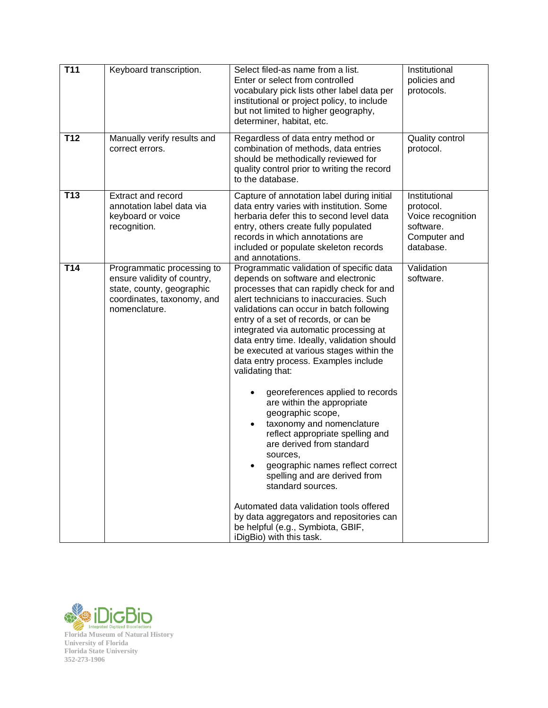| <b>T11</b>      | Keyboard transcription.                                                                                                               | Select filed-as name from a list.<br>Enter or select from controlled<br>vocabulary pick lists other label data per<br>institutional or project policy, to include<br>but not limited to higher geography,<br>determiner, habitat, etc.                                                                                                                                                                                                                                                                                                                                                                                                                                                                                                                                                                                                                                                                                     | Institutional<br>policies and<br>protocols.                                               |
|-----------------|---------------------------------------------------------------------------------------------------------------------------------------|----------------------------------------------------------------------------------------------------------------------------------------------------------------------------------------------------------------------------------------------------------------------------------------------------------------------------------------------------------------------------------------------------------------------------------------------------------------------------------------------------------------------------------------------------------------------------------------------------------------------------------------------------------------------------------------------------------------------------------------------------------------------------------------------------------------------------------------------------------------------------------------------------------------------------|-------------------------------------------------------------------------------------------|
| T <sub>12</sub> | Manually verify results and<br>correct errors.                                                                                        | Regardless of data entry method or<br>combination of methods, data entries<br>should be methodically reviewed for<br>quality control prior to writing the record<br>to the database.                                                                                                                                                                                                                                                                                                                                                                                                                                                                                                                                                                                                                                                                                                                                       | Quality control<br>protocol.                                                              |
| T <sub>13</sub> | Extract and record<br>annotation label data via<br>keyboard or voice<br>recognition.                                                  | Capture of annotation label during initial<br>data entry varies with institution. Some<br>herbaria defer this to second level data<br>entry, others create fully populated<br>records in which annotations are<br>included or populate skeleton records<br>and annotations.                                                                                                                                                                                                                                                                                                                                                                                                                                                                                                                                                                                                                                                | Institutional<br>protocol.<br>Voice recognition<br>software.<br>Computer and<br>database. |
| T14             | Programmatic processing to<br>ensure validity of country,<br>state, county, geographic<br>coordinates, taxonomy, and<br>nomenclature. | Programmatic validation of specific data<br>depends on software and electronic<br>processes that can rapidly check for and<br>alert technicians to inaccuracies. Such<br>validations can occur in batch following<br>entry of a set of records, or can be<br>integrated via automatic processing at<br>data entry time. Ideally, validation should<br>be executed at various stages within the<br>data entry process. Examples include<br>validating that:<br>georeferences applied to records<br>are within the appropriate<br>geographic scope,<br>taxonomy and nomenclature<br>$\bullet$<br>reflect appropriate spelling and<br>are derived from standard<br>sources,<br>geographic names reflect correct<br>spelling and are derived from<br>standard sources.<br>Automated data validation tools offered<br>by data aggregators and repositories can<br>be helpful (e.g., Symbiota, GBIF,<br>iDigBio) with this task. | Validation<br>software.                                                                   |